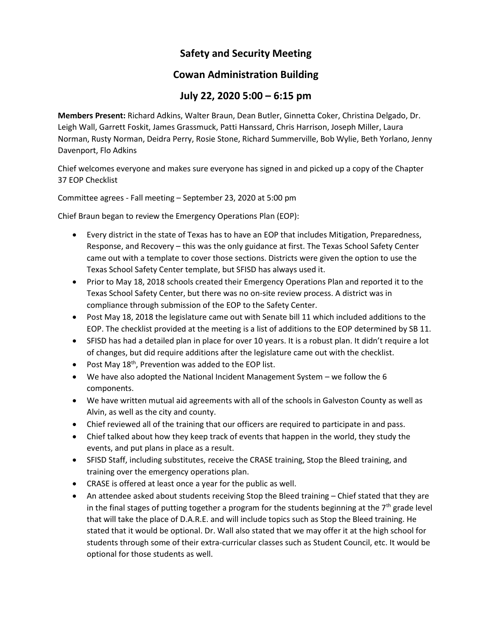## **Safety and Security Meeting**

## **Cowan Administration Building**

## **July 22, 2020 5:00 – 6:15 pm**

**Members Present:** Richard Adkins, Walter Braun, Dean Butler, Ginnetta Coker, Christina Delgado, Dr. Leigh Wall, Garrett Foskit, James Grassmuck, Patti Hanssard, Chris Harrison, Joseph Miller, Laura Norman, Rusty Norman, Deidra Perry, Rosie Stone, Richard Summerville, Bob Wylie, Beth Yorlano, Jenny Davenport, Flo Adkins

Chief welcomes everyone and makes sure everyone has signed in and picked up a copy of the Chapter 37 EOP Checklist

Committee agrees - Fall meeting – September 23, 2020 at 5:00 pm

Chief Braun began to review the Emergency Operations Plan (EOP):

- Every district in the state of Texas has to have an EOP that includes Mitigation, Preparedness, Response, and Recovery – this was the only guidance at first. The Texas School Safety Center came out with a template to cover those sections. Districts were given the option to use the Texas School Safety Center template, but SFISD has always used it.
- Prior to May 18, 2018 schools created their Emergency Operations Plan and reported it to the Texas School Safety Center, but there was no on-site review process. A district was in compliance through submission of the EOP to the Safety Center.
- Post May 18, 2018 the legislature came out with Senate bill 11 which included additions to the EOP. The checklist provided at the meeting is a list of additions to the EOP determined by SB 11.
- SFISD has had a detailed plan in place for over 10 years. It is a robust plan. It didn't require a lot of changes, but did require additions after the legislature came out with the checklist.
- Post May  $18<sup>th</sup>$ , Prevention was added to the EOP list.
- We have also adopted the National Incident Management System we follow the 6 components.
- We have written mutual aid agreements with all of the schools in Galveston County as well as Alvin, as well as the city and county.
- Chief reviewed all of the training that our officers are required to participate in and pass.
- Chief talked about how they keep track of events that happen in the world, they study the events, and put plans in place as a result.
- SFISD Staff, including substitutes, receive the CRASE training, Stop the Bleed training, and training over the emergency operations plan.
- CRASE is offered at least once a year for the public as well.
- An attendee asked about students receiving Stop the Bleed training Chief stated that they are in the final stages of putting together a program for the students beginning at the  $7<sup>th</sup>$  grade level that will take the place of D.A.R.E. and will include topics such as Stop the Bleed training. He stated that it would be optional. Dr. Wall also stated that we may offer it at the high school for students through some of their extra-curricular classes such as Student Council, etc. It would be optional for those students as well.